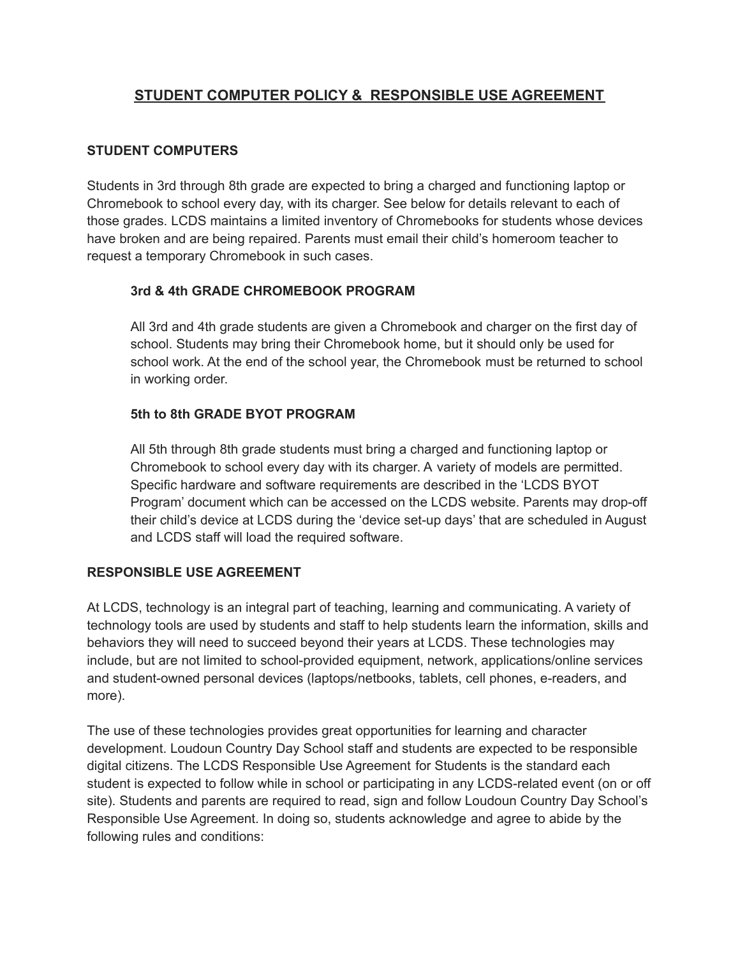# **STUDENT COMPUTER POLICY & RESPONSIBLE USE AGREEMENT**

#### **STUDENT COMPUTERS**

Students in 3rd through 8th grade are expected to bring a charged and functioning laptop or Chromebook to school every day, with its charger. See below for details relevant to each of those grades. LCDS maintains a limited inventory of Chromebooks for students whose devices have broken and are being repaired. Parents must email their child's homeroom teacher to request a temporary Chromebook in such cases.

### **3rd & 4th GRADE CHROMEBOOK PROGRAM**

All 3rd and 4th grade students are given a Chromebook and charger on the first day of school. Students may bring their Chromebook home, but it should only be used for school work. At the end of the school year, the Chromebook must be returned to school in working order.

#### **5th to 8th GRADE BYOT PROGRAM**

All 5th through 8th grade students must bring a charged and functioning laptop or Chromebook to school every day with its charger. A variety of models are permitted. Specific hardware and software requirements are described in the 'LCDS BYOT Program' document which can be accessed on the LCDS website. Parents may drop-off their child's device at LCDS during the 'device set-up days' that are scheduled in August and LCDS staff will load the required software.

### **RESPONSIBLE USE AGREEMENT**

At LCDS, technology is an integral part of teaching, learning and communicating. A variety of technology tools are used by students and staff to help students learn the information, skills and behaviors they will need to succeed beyond their years at LCDS. These technologies may include, but are not limited to school-provided equipment, network, applications/online services and student-owned personal devices (laptops/netbooks, tablets, cell phones, e-readers, and more).

The use of these technologies provides great opportunities for learning and character development. Loudoun Country Day School staff and students are expected to be responsible digital citizens. The LCDS Responsible Use Agreement for Students is the standard each student is expected to follow while in school or participating in any LCDS-related event (on or off site). Students and parents are required to read, sign and follow Loudoun Country Day School's Responsible Use Agreement. In doing so, students acknowledge and agree to abide by the following rules and conditions: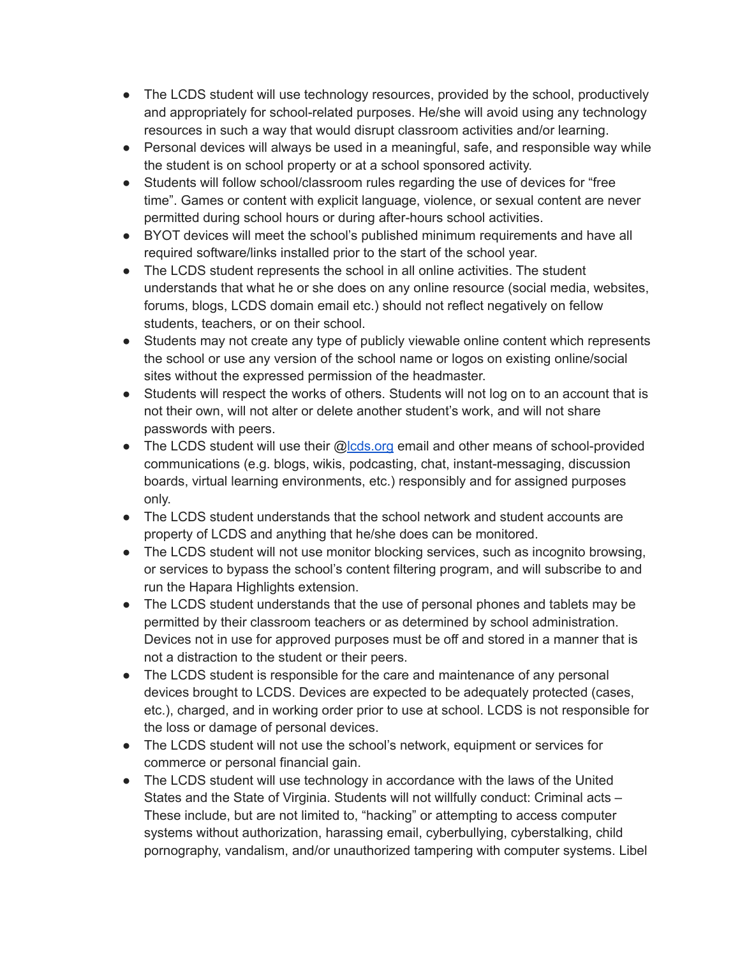- The LCDS student will use technology resources, provided by the school, productively and appropriately for school-related purposes. He/she will avoid using any technology resources in such a way that would disrupt classroom activities and/or learning.
- Personal devices will always be used in a meaningful, safe, and responsible way while the student is on school property or at a school sponsored activity.
- Students will follow school/classroom rules regarding the use of devices for "free time". Games or content with explicit language, violence, or sexual content are never permitted during school hours or during after-hours school activities.
- BYOT devices will meet the school's published minimum requirements and have all required software/links installed prior to the start of the school year.
- The LCDS student represents the school in all online activities. The student understands that what he or she does on any online resource (social media, websites, forums, blogs, LCDS domain email etc.) should not reflect negatively on fellow students, teachers, or on their school.
- Students may not create any type of publicly viewable online content which represents the school or use any version of the school name or logos on existing online/social sites without the expressed permission of the headmaster.
- Students will respect the works of others. Students will not log on to an account that is not their own, will not alter or delete another student's work, and will not share passwords with peers.
- The LCDS student will use their [@lcds.org](http://lcds.org/) email and other means of school-provided communications (e.g. blogs, wikis, podcasting, chat, instant-messaging, discussion boards, virtual learning environments, etc.) responsibly and for assigned purposes only.
- The LCDS student understands that the school network and student accounts are property of LCDS and anything that he/she does can be monitored.
- The LCDS student will not use monitor blocking services, such as incognito browsing, or services to bypass the school's content filtering program, and will subscribe to and run the Hapara Highlights extension.
- The LCDS student understands that the use of personal phones and tablets may be permitted by their classroom teachers or as determined by school administration. Devices not in use for approved purposes must be off and stored in a manner that is not a distraction to the student or their peers.
- The LCDS student is responsible for the care and maintenance of any personal devices brought to LCDS. Devices are expected to be adequately protected (cases, etc.), charged, and in working order prior to use at school. LCDS is not responsible for the loss or damage of personal devices.
- The LCDS student will not use the school's network, equipment or services for commerce or personal financial gain.
- The LCDS student will use technology in accordance with the laws of the United States and the State of Virginia. Students will not willfully conduct: Criminal acts – These include, but are not limited to, "hacking" or attempting to access computer systems without authorization, harassing email, cyberbullying, cyberstalking, child pornography, vandalism, and/or unauthorized tampering with computer systems. Libel